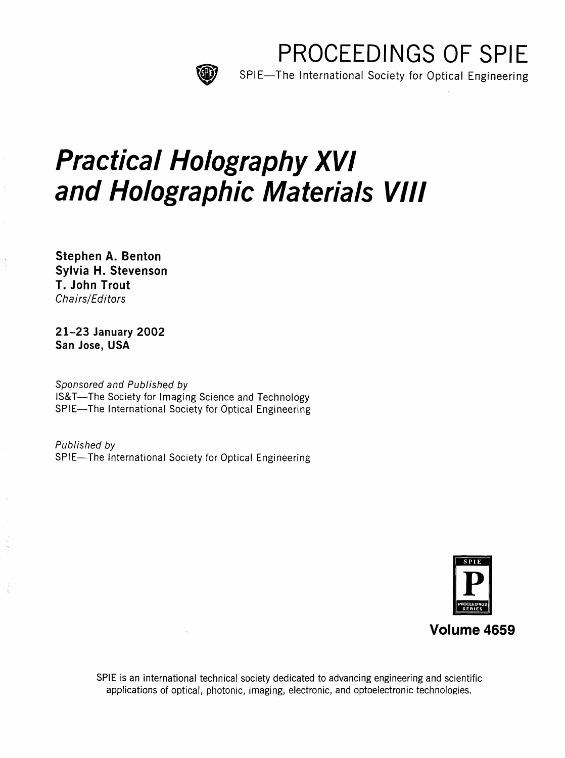

PROCEEDINGS OF SPIE

SPIE—The International Society for Optical Engineering

# Practical Holography XVI and Holographic Materials VIII

Stephen A. Benton Sylvia H. Stevenson T. John Trout Chairs/Editors

21-23 January 2002 San Jose, USA

Sponsored and Published by IS&T—The Society for Imaging Science and Technology SPIE—The International Society for Optical Engineering

Published by SPIE—The International Society for Optical Engineering



SPIE is an international technical society dedicated to advancing engineering and scientific applications of optical, photonic, imaging, electronic, and optoelectronic technologies.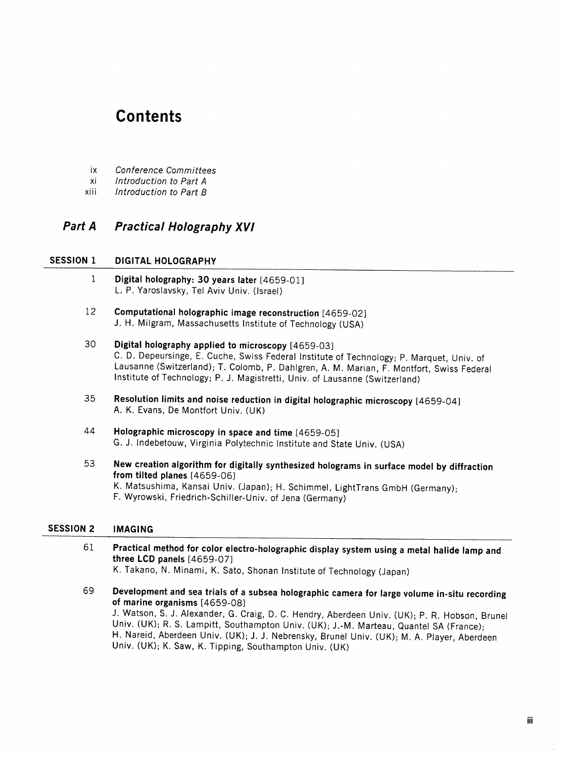# **Contents**

- ix Conference Committees
- xi Introduction to Part A
- xiii Introduction to Part B

## Part A Practical Holography XVI

#### SESSION 1 DIGITAL HOLOGRAPHY

- <sup>1</sup> Digital holography: 30 years later [4659-01] L. P. Yaroslavsky, Tel Aviv Univ. (Israel)
- 12 Computational holographic image reconstruction [4659-02] J. H. Milgram, Massachusetts Institute of Technology (USA)
- 30 Digital holography applied to microscopy [4659-03] C. D. Depeursinge, E. Cuche, Swiss Federal Institute of Technology; P. Marquet, Univ. of Lausanne (Switzerland); T. Colomb, P. Dahlgren, A. M. Marian, F. Montfort, Swiss Federal Institute of Technology; P. J. Magistretti, Univ. of Lausanne (Switzerland)
- <sup>35</sup> Resolution limits and noise reduction in digital holographic microscopy [4659-04] A. K. Evans, De Montfort Univ. (UK)
- 44 Holographic microscopy in space and time [4659-05] G. J. Indebetouw, Virginia Polytechnic Institute and State Univ. (USA)
- <sup>53</sup> New creation algorithm for digitally synthesized holograms in surface model by diffraction from tilted planes [4659-06] K. Matsushima, Kansai Univ. (Japan); H. Schimmel, LightTrans GmbH (Germany); F. Wyrowski, Friedrich-Schiller-Univ. of Jena (Germany)

#### SESSION <sup>2</sup> IMAGING

- <sup>61</sup> Practical method for color electro-holographic display system using <sup>a</sup> metal halide lamp and three LCD panels [4659-07]
	- K. Takano, N. Minami, K. Sato, Shonan Institute of Technology (Japan)
- 69 Development and sea trials of a subsea holographic camera for large volume in-situ recording of marine organisms  $[4659-08]$ J. Watson, S. J. Alexander, G. Craig, D. C. Hendry, Aberdeen Univ. (UK); P. R. Hobson, Brunei

Univ. (UK); R. S. Lampitt, Southampton Univ. (UK); J.-M. Marteau, Quantel SA (France); H. Nareid, Aberdeen Univ. (UK); J. J. Nebrensky, Brunei Univ. (UK); M. A. Player, Aberdeen Univ. (UK); K. Saw, K. Tipping, Southampton Univ. (UK)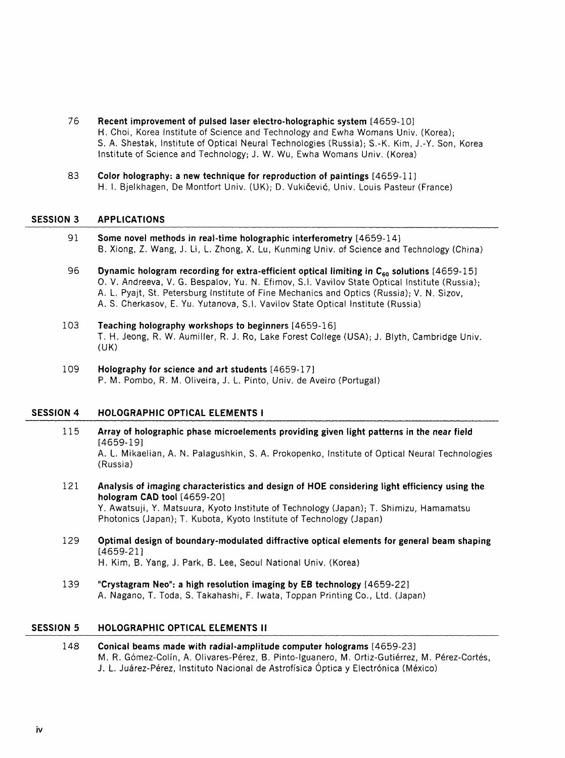- 76 Recent improvement of pulsed laser electro-holographic system [4659-10] H. Choi, Korea Institute of Science and Technology and Ewha Womans Univ. (Korea); S. A. Shestak, Institute of Optical Neural Technologies (Russia); S.-K. Kim, J.-Y. Son, Korea Institute of Science and Technology; J. W. Wu, Ewha Womans Univ. (Korea)
- 83 Color holography: <sup>a</sup> new technique for reproduction of paintings [4659-11] H. 1. Bjelkhagen, De Montfort Univ. (UK); D. Vukicevic, Univ. Louis Pasteur (France)

#### SESSION 3 APPLICATIONS

- <sup>91</sup> Some novel methods in real-time holographic interferometry [4659-14] B. Xiong, Z. Wang, J. Li, L. Zhong, X. Lu, Kunming Univ. of Science and Technology (China)
- 96 Dynamic hologram recording for extra-efficient optical limiting in  $C_{60}$  solutions [4659-15] 0. V. Andreeva, V. G. Bespalov, Yu. N. Efimov, S.I. Vavilov State Optical Institute (Russia); A. L. Pyajt, St. Petersburg Institute of Fine Mechanics and Optics (Russia); V. N. Sizov, A. S. Cherkasov, E. Yu. Yutanova, S.I. Vavilov State Optical Institute (Russia)
- 103 Teaching holography workshops to beginners [4659-16] T. H. Jeong, R. W. Aumiller, R. J. Ro, Lake Forest College (USA); J. Blyth, Cambridge Univ. (UK)
- 109 Holography for science and art students [4659-17] P. M. Pombo, R. M. Oliveira, J. L. Pinto, Univ. de Aveiro (Portugal)

#### SESSION 4 HOLOGRAPHIC OPTICAL ELEMENTS I

- 115 Array of holographic phase microelements providing given light patterns in the near field [4659-19] A. L. Mikaelian, A. N. Palagushkin, S. A. Prokopenko, Institute of Optical Neural Technologies (Russia)
- 121 Analysis of imaging characteristics and design of HOE considering light efficiency using the hologram CAD tool [4659-20] Y. Awatsuji, Y. Matsuura, Kyoto Institute of Technology (Japan); T. Shimizu, Hamamatsu Photonics (Japan); T. Kubota, Kyoto Institute of Technology (Japan)
- 129 Optimal design of boundary-modulated diffractive optical elements for general beam shaping [4659-21] H. Kim, B. Yang, J. Park, B. Lee, Seoul National Univ. (Korea)
- 139 "Crystagram Neo": <sup>a</sup> high resolution imaging by EB technology [4659-22] A. Nagano, T. Toda, S. Takahashi, F. Iwata, Toppan Printing Co., Ltd. (Japan)

#### SESSION <sup>5</sup> HOLOGRAPHIC OPTICAL ELEMENTS II

148 Conical beams made with radial-amplitude computer holograms [4659-23] M. R. Gomez-Colin, A. Olivares-Perez, B. Pinto-lguanero, M. Ortiz-Gutierrez, M. Perez-Cortes, J. L. Juarez-Perez, Instituto Nacional de Astroffsica Optica <sup>y</sup> Electronica (Mexico)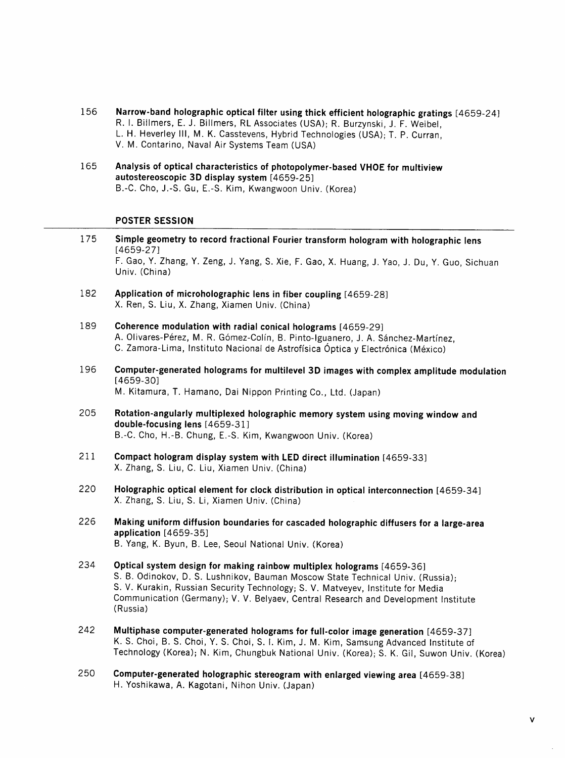- 156 Narrow-band holographic optical filter using thick efficient holographic gratings [4659-24] R. I. Billmers, E. J. Billmers, RL Associates (USA); R. Burzynski, J. F. Weibel, L. H. Heverley III, M. K. Casstevens, Hybrid Technologies (USA); T. P. Curran, V. M. Contarino, Naval Air Systems Team (USA)
- 165 Analysis of optical characteristics of photopolymer-based VHOE for multiview autostereoscopic 3D display system [4659-25] B.-C. Cho, J.-S. Gu, E.-S. Kim, Kwangwoon Univ. (Korea)

#### POSTER SESSION

- 175 Simple geometry to record fractional Fourier transform hologram with holographic lens [4659-27] F. Gao, Y. Zhang, Y. Zeng, J. Yang, S. Xie, F. Gao, X. Huang, J. Yao, J. Du, Y. Guo, Sichuan Univ. (China)
- 182 Application of microholographic lens in fiber coupling [4659-28] X. Ren, S. Liu, X. Zhang, Xiamen Univ. (China)
- 189 Coherence modulation with radial conical holograms [4659-29] A. Olivares-Pérez, M. R. Gómez-Colín, B. Pinto-Iguanero, J. A. Sánchez-Martínez, C. Zamora-Lima, Instituto Nacional de Astrofísica Óptica y Electrónica (México)
- 196 Computer-generated holograms for multilevel 3D images with complex amplitude modulation [4659-30] M. Kitamura, T. Hamano, Dai Nippon Printing Co., Ltd. (Japan)
- 205 Rotation-angularly multiplexed holographic memory system using moving window and double-focusing lens [4659-31] B. -C. Cho, H.-B. Chung, E.-S. Kim, Kwangwoon Univ. (Korea)
- 211 Compact hologram display system with LED direct illumination [4659-33] X. Zhang, S. Liu, C. Liu, Xiamen Univ. (China)
- 220 Holographic optical element for clock distribution in optical interconnection [4659-34] X. Zhang, S. Liu, S. Li, Xiamen Univ. (China)
- 226 Making uniform diffusion boundaries for cascaded holographic diffusers for <sup>a</sup> large-area application [4659-35] B. Yang, K. Byun, B. Lee, Seoul National Univ. (Korea)
- 234 Optical system design for making rainbow multiplex holograms [4659-36] S. B. Odinokov, D. S. Lushnikov, Bauman Moscow State Technical Univ. (Russia); S. V. Kurakin, Russian Security Technology; S. V. Matveyev, Institute for Media Communication (Germany); V. V. Belyaev, Central Research and Development Institute (Russia)
- 242 Multiphase computer-generated holograms for full-color image generation [4659-37] K. S. Choi, B. S. Choi, Y. S. Choi, S. I. Kim, J. M. Kim, Samsung Advanced Institute of Technology (Korea); N. Kim, Chungbuk National Univ. (Korea); S. K. Gil, Suwon Univ. (Korea)
- 250 Computer-generated holographic stereogram with enlarged viewing area [4659-38] H. Yoshikawa, A. Kagotani, Nihon Univ. (Japan)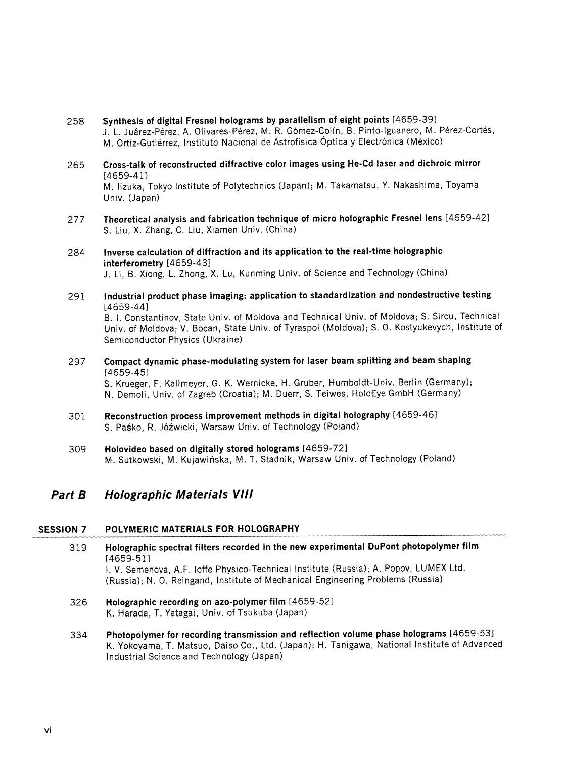- 258 Synthesis of digital Fresnel holograms by parallelism of eight points [4659-39] J. L. Juárez-Pérez, A. Olivares-Pérez, M. R. Gómez-Colín, B. Pinto-Iguanero, M. Pérez-Cortés, M. Ortiz-Gutiérrez, Instituto Nacional de Astrofísica Óptica y Electrónica (México)
- 265 Cross-talk of reconstructed diffractive color images using He-Cd laser and dichroic mirror [4659-41] M. lizuka, Tokyo Institute of Polytechnics (Japan); M. Takamatsu, Y. Nakashima, Toyama Univ. (Japan)
- 277 Theoretical analysis and fabrication technique of micro holographic Fresnel lens [4659-42] S. Liu, X. Zhang, C. Liu, Xiamen Univ. (China)
- 284 inverse calculation of diffraction and its application to the real-time holographic interferometry [4659-43] J. Li, B. Xiong, L. Zhong, X. Lu, Kunming Univ. of Science and Technology (China)
- 291 Industrial product phase imaging: application to standardization and nondestructive testing [4659-44]

B. I. Constantinov, State Univ. of Moldova and Technical Univ. of Moldova; S. Sircu, Technical Univ. of Moldova; V. Bocan, State Univ. of Tyraspol (Moldova); S. 0. Kostyukevych, Institute of Semiconductor Physics (Ukraine)

297 Compact dynamic phase-modulating system for laser beam splitting and beam shaping [4659-45]

S. Krueger, F. Kallmeyer, G. K. Wernicke, H. Gruber, Humboldt-Univ. Berlin (Germany); N. Demoli, Univ. of Zagreb (Croatia); M. Duerr, S. Teiwes, HoloEye GmbH (Germany)

- 301 Reconstruction process improvement methods in digital holography [4659-46] S. Paśko, R. Jóźwicki, Warsaw Univ. of Technology (Poland)
- 309 Holovideo based on digitally stored holograms [4659-72] M. Sutkowski, M. Kujawiriska, M. T. Stadnik, Warsaw Univ. of Technology (Poland)

### Part B Holographic Materials VIII

#### SESSION 7 POLYMERIC MATERIALS FOR HOLOGRAPHY

- 319 Holographic spectral filters recorded in the new experimental OuPont photopolymer film [4659-51] I. V. Semenova, A.F. loffe Physico-Technical Institute (Russia); A. Popov, LUMEX Ltd. (Russia); N. 0. Reingand, Institute of Mechanical Engineering Problems (Russia)
- 326 Holographic recording on azo-polymer film [4659-52] K. Harada, T. Yatagai, Univ. of Tsukuba (Japan)
- 334 Photopolymer for recording transmission and reflection volume phase holograms [4659-53] K. Yokoyama, T. Matsuo, Daiso Co., Ltd. (Japan); H. Tanigawa, National Institute of Advanced Industrial Science and Technology (Japan)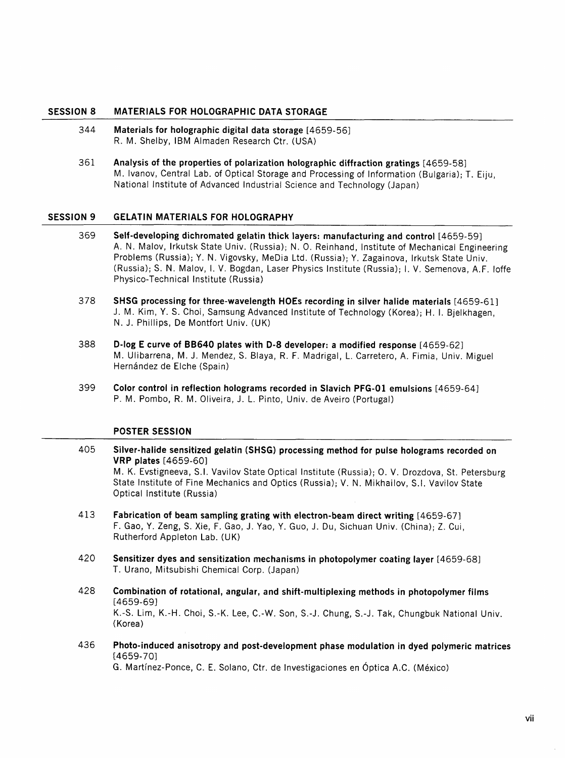#### SESSION <sup>8</sup> MATERIALS FOR HOLOGRAPHIC DATA STORAGE

- 344 Materials for holographic digital data storage [4659-56] R. M. Shelby, IBM Almaden Research Ctr. (USA)
- 361 Analysis of the properties of polarization holographic diffraction gratings [4659-58] M. Ivanov, Central Lab. of Optical Storage and Processing of Information (Bulgaria); T. Eiju, National Institute of Advanced Industrial Science and Technology (Japan)

#### SESSION <sup>9</sup> GELATIN MATERIALS FOR HOLOGRAPHY

- 369 Self-developing dichromated gelatin thick layers: manufacturing and control [4659-59] A. N. Malov, Irkutsk State Univ. (Russia); N. 0. Reinhand, Institute of Mechanical Engineering Problems (Russia); Y. N. Vigovsky, MeDia Ltd. (Russia); Y. Zagainova, Irkutsk State Univ. (Russia); S. N. Malov, I. V. Bogdan, Laser Physics Institute (Russia); I. V. Semenova, A.F. loffe Physico-Technical Institute (Russia)
- 378 SHSG processing for three-wavelength HOEs recording in silver halide materials [4659-61] J. M. Kim, Y. S. Choi, Samsung Advanced Institute of Technology (Korea); H. I. Bjelkhagen, N. J. Phillips, De Montfort Univ. (UK)
- 388 D-log <sup>E</sup> curve of BB640 plates with D-8 developer: <sup>a</sup> modified response [4659-62] M. Ulibarrena, M. J. Mendez, S. Blaya, R. F. Madrigal, L. Carretero, A. Fimia, Univ. Miguel Hernández de Elche (Spain)
- 399 Color control in reflection holograms recorded in Slavich PFG-01 emulsions [4659-64] P. M. Pombo, R. M. Oliveira, J. L. Pinto, Univ. de Aveiro (Portugal)

#### POSTER SESSION

405 Silver-halide sensitized gelatin (SHSG) processing method for pulse holograms recorded on VRP plates [4659-60]

M. K. Evstigneeva, S.I. Vavilov State Optical Institute (Russia); 0. V. Drozdova, St. Petersburg State Institute of Fine Mechanics and Optics (Russia); V. N. Mikhailov, S.I. Vavilov State Optical Institute (Russia)

- 413 Fabrication of beam sampling grating with electron-beam direct writing [4659-67] F. Gao, Y. Zeng, S. Xie, F. Gao, J. Yao, Y. Guo, J. Du, Sichuan Univ. (China); Z. Cui, Rutherford Appleton Lab. (UK)
- 420 Sensitizer dyes and sensitization mechanisms in photopolymer coating layer [4659-68] T. Urano, Mitsubishi Chemical Corp. (Japan)
- 428 Combination of rotational, angular, and shift-multiplexing methods in photopolymer films [4659-69] K.-S. Lim, K.-H. Choi, S.-K. Lee, C.-W. Son, S.-J. Chung, S.-J. Tak, Chungbuk National Univ. (Korea)
- 436 Photo-induced anisotropy and post-development phase modulation in dyed polymeric matrices [4659-70]

G. Martinez-Ponce, C. E. Solano, Ctr. de Investigaciones en Optica A.C. (Mexico)